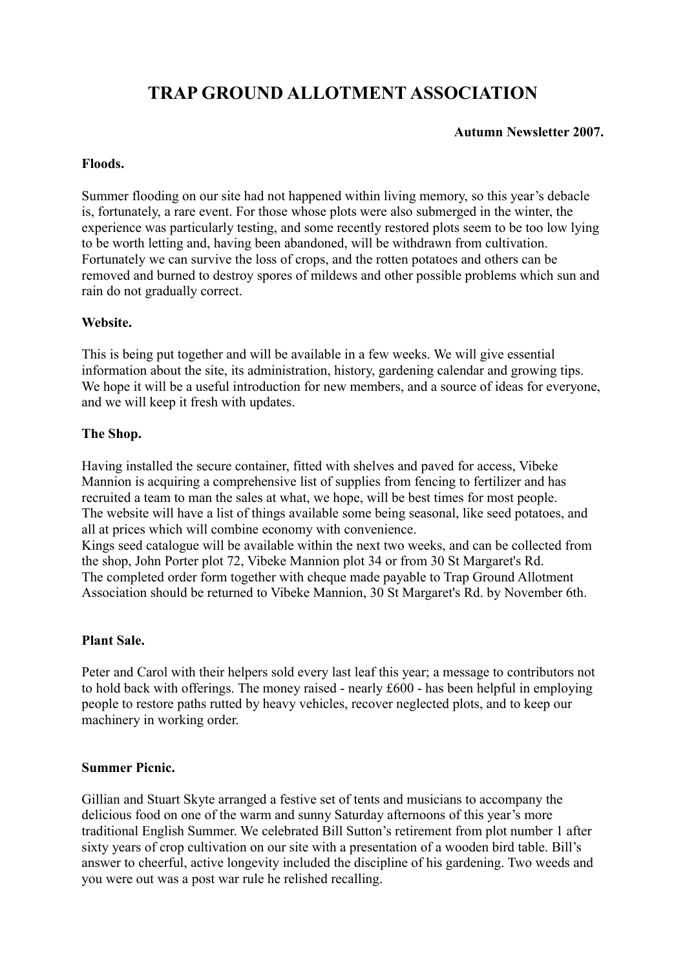# **TRAP GROUND ALLOTMENT ASSOCIATION**

## **Autumn Newsletter 2007.**

#### **Floods.**

Summer flooding on our site had not happened within living memory, so this year's debacle is, fortunately, a rare event. For those whose plots were also submerged in the winter, the experience was particularly testing, and some recently restored plots seem to be too low lying to be worth letting and, having been abandoned, will be withdrawn from cultivation. Fortunately we can survive the loss of crops, and the rotten potatoes and others can be removed and burned to destroy spores of mildews and other possible problems which sun and rain do not gradually correct.

## **Website.**

This is being put together and will be available in a few weeks. We will give essential information about the site, its administration, history, gardening calendar and growing tips. We hope it will be a useful introduction for new members, and a source of ideas for everyone, and we will keep it fresh with updates.

## **The Shop.**

Having installed the secure container, fitted with shelves and paved for access, Vibeke Mannion is acquiring a comprehensive list of supplies from fencing to fertilizer and has recruited a team to man the sales at what, we hope, will be best times for most people. The website will have a list of things available some being seasonal, like seed potatoes, and all at prices which will combine economy with convenience.

Kings seed catalogue will be available within the next two weeks, and can be collected from the shop, John Porter plot 72, Vibeke Mannion plot 34 or from 30 St Margaret's Rd. The completed order form together with cheque made payable to Trap Ground Allotment Association should be returned to Vibeke Mannion, 30 St Margaret's Rd. by November 6th.

# **Plant Sale.**

Peter and Carol with their helpers sold every last leaf this year; a message to contributors not to hold back with offerings. The money raised - nearly £600 - has been helpful in employing people to restore paths rutted by heavy vehicles, recover neglected plots, and to keep our machinery in working order.

#### **Summer Picnic.**

Gillian and Stuart Skyte arranged a festive set of tents and musicians to accompany the delicious food on one of the warm and sunny Saturday afternoons of this year's more traditional English Summer. We celebrated Bill Sutton's retirement from plot number 1 after sixty years of crop cultivation on our site with a presentation of a wooden bird table. Bill's answer to cheerful, active longevity included the discipline of his gardening. Two weeds and you were out was a post war rule he relished recalling.